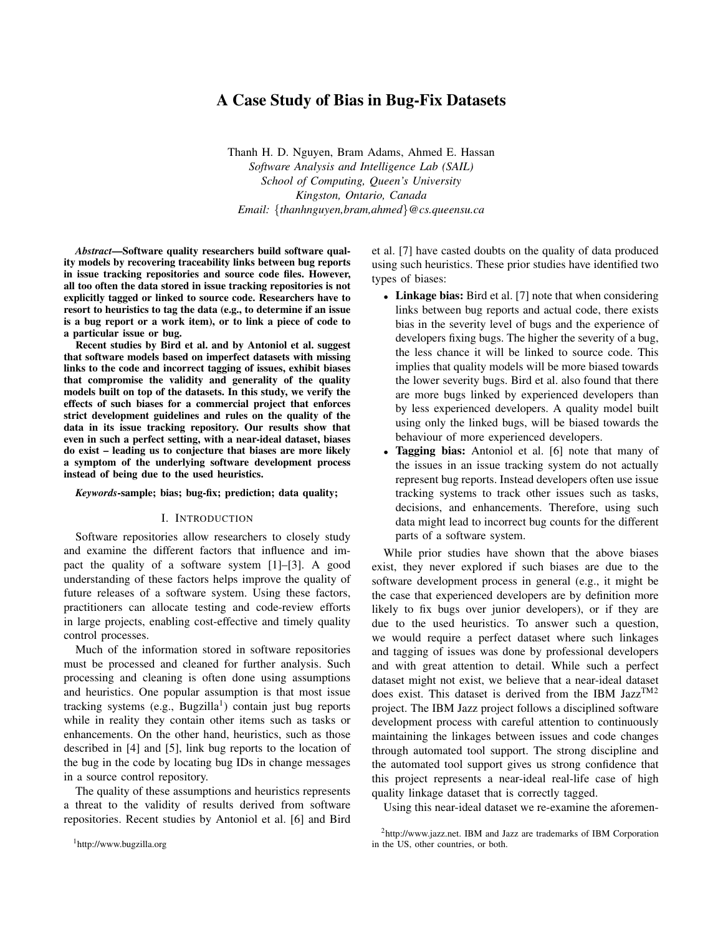# A Case Study of Bias in Bug-Fix Datasets

Thanh H. D. Nguyen, Bram Adams, Ahmed E. Hassan *Software Analysis and Intelligence Lab (SAIL) School of Computing, Queen's University Kingston, Ontario, Canada Email:* {*thanhnguyen,bram,ahmed*}*@cs.queensu.ca*

*Abstract*—Software quality researchers build software quality models by recovering traceability links between bug reports in issue tracking repositories and source code files. However, all too often the data stored in issue tracking repositories is not explicitly tagged or linked to source code. Researchers have to resort to heuristics to tag the data (e.g., to determine if an issue is a bug report or a work item), or to link a piece of code to a particular issue or bug.

Recent studies by Bird et al. and by Antoniol et al. suggest that software models based on imperfect datasets with missing links to the code and incorrect tagging of issues, exhibit biases that compromise the validity and generality of the quality models built on top of the datasets. In this study, we verify the effects of such biases for a commercial project that enforces strict development guidelines and rules on the quality of the data in its issue tracking repository. Our results show that even in such a perfect setting, with a near-ideal dataset, biases do exist – leading us to conjecture that biases are more likely a symptom of the underlying software development process instead of being due to the used heuristics.

## *Keywords*-sample; bias; bug-fix; prediction; data quality;

## I. INTRODUCTION

Software repositories allow researchers to closely study and examine the different factors that influence and impact the quality of a software system [1]–[3]. A good understanding of these factors helps improve the quality of future releases of a software system. Using these factors, practitioners can allocate testing and code-review efforts in large projects, enabling cost-effective and timely quality control processes.

Much of the information stored in software repositories must be processed and cleaned for further analysis. Such processing and cleaning is often done using assumptions and heuristics. One popular assumption is that most issue tracking systems (e.g., Bugzilla<sup>1</sup>) contain just bug reports while in reality they contain other items such as tasks or enhancements. On the other hand, heuristics, such as those described in [4] and [5], link bug reports to the location of the bug in the code by locating bug IDs in change messages in a source control repository.

The quality of these assumptions and heuristics represents a threat to the validity of results derived from software repositories. Recent studies by Antoniol et al. [6] and Bird et al. [7] have casted doubts on the quality of data produced using such heuristics. These prior studies have identified two types of biases:

- Linkage bias: Bird et al. [7] note that when considering links between bug reports and actual code, there exists bias in the severity level of bugs and the experience of developers fixing bugs. The higher the severity of a bug, the less chance it will be linked to source code. This implies that quality models will be more biased towards the lower severity bugs. Bird et al. also found that there are more bugs linked by experienced developers than by less experienced developers. A quality model built using only the linked bugs, will be biased towards the behaviour of more experienced developers.
- Tagging bias: Antoniol et al. [6] note that many of the issues in an issue tracking system do not actually represent bug reports. Instead developers often use issue tracking systems to track other issues such as tasks, decisions, and enhancements. Therefore, using such data might lead to incorrect bug counts for the different parts of a software system.

While prior studies have shown that the above biases exist, they never explored if such biases are due to the software development process in general (e.g., it might be the case that experienced developers are by definition more likely to fix bugs over junior developers), or if they are due to the used heuristics. To answer such a question, we would require a perfect dataset where such linkages and tagging of issues was done by professional developers and with great attention to detail. While such a perfect dataset might not exist, we believe that a near-ideal dataset does exist. This dataset is derived from the IBM Jazz<sup>TM2</sup> project. The IBM Jazz project follows a disciplined software development process with careful attention to continuously maintaining the linkages between issues and code changes through automated tool support. The strong discipline and the automated tool support gives us strong confidence that this project represents a near-ideal real-life case of high quality linkage dataset that is correctly tagged.

Using this near-ideal dataset we re-examine the aforemen-

<sup>2</sup>http://www.jazz.net. IBM and Jazz are trademarks of IBM Corporation in the US, other countries, or both.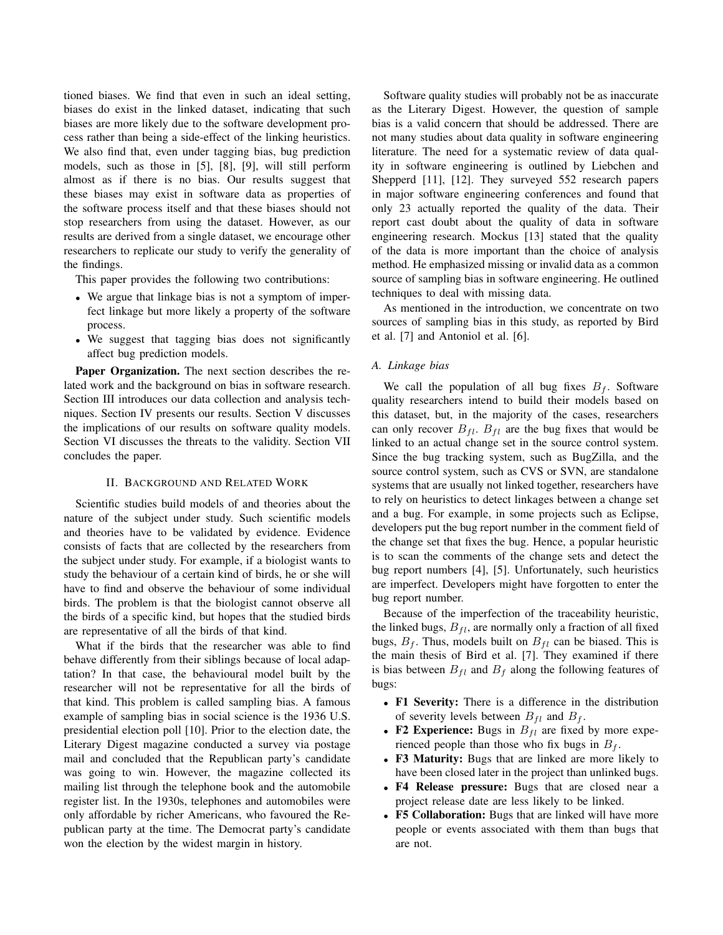tioned biases. We find that even in such an ideal setting, biases do exist in the linked dataset, indicating that such biases are more likely due to the software development process rather than being a side-effect of the linking heuristics. We also find that, even under tagging bias, bug prediction models, such as those in [5], [8], [9], will still perform almost as if there is no bias. Our results suggest that these biases may exist in software data as properties of the software process itself and that these biases should not stop researchers from using the dataset. However, as our results are derived from a single dataset, we encourage other researchers to replicate our study to verify the generality of the findings.

This paper provides the following two contributions:

- We argue that linkage bias is not a symptom of imperfect linkage but more likely a property of the software process.
- We suggest that tagging bias does not significantly affect bug prediction models.

Paper Organization. The next section describes the related work and the background on bias in software research. Section III introduces our data collection and analysis techniques. Section IV presents our results. Section V discusses the implications of our results on software quality models. Section VI discusses the threats to the validity. Section VII concludes the paper.

## II. BACKGROUND AND RELATED WORK

Scientific studies build models of and theories about the nature of the subject under study. Such scientific models and theories have to be validated by evidence. Evidence consists of facts that are collected by the researchers from the subject under study. For example, if a biologist wants to study the behaviour of a certain kind of birds, he or she will have to find and observe the behaviour of some individual birds. The problem is that the biologist cannot observe all the birds of a specific kind, but hopes that the studied birds are representative of all the birds of that kind.

What if the birds that the researcher was able to find behave differently from their siblings because of local adaptation? In that case, the behavioural model built by the researcher will not be representative for all the birds of that kind. This problem is called sampling bias. A famous example of sampling bias in social science is the 1936 U.S. presidential election poll [10]. Prior to the election date, the Literary Digest magazine conducted a survey via postage mail and concluded that the Republican party's candidate was going to win. However, the magazine collected its mailing list through the telephone book and the automobile register list. In the 1930s, telephones and automobiles were only affordable by richer Americans, who favoured the Republican party at the time. The Democrat party's candidate won the election by the widest margin in history.

Software quality studies will probably not be as inaccurate as the Literary Digest. However, the question of sample bias is a valid concern that should be addressed. There are not many studies about data quality in software engineering literature. The need for a systematic review of data quality in software engineering is outlined by Liebchen and Shepperd [11], [12]. They surveyed 552 research papers in major software engineering conferences and found that only 23 actually reported the quality of the data. Their report cast doubt about the quality of data in software engineering research. Mockus [13] stated that the quality of the data is more important than the choice of analysis method. He emphasized missing or invalid data as a common source of sampling bias in software engineering. He outlined techniques to deal with missing data.

As mentioned in the introduction, we concentrate on two sources of sampling bias in this study, as reported by Bird et al. [7] and Antoniol et al. [6].

## *A. Linkage bias*

We call the population of all bug fixes  $B_f$ . Software quality researchers intend to build their models based on this dataset, but, in the majority of the cases, researchers can only recover  $B_{fl}$ .  $B_{fl}$  are the bug fixes that would be linked to an actual change set in the source control system. Since the bug tracking system, such as BugZilla, and the source control system, such as CVS or SVN, are standalone systems that are usually not linked together, researchers have to rely on heuristics to detect linkages between a change set and a bug. For example, in some projects such as Eclipse, developers put the bug report number in the comment field of the change set that fixes the bug. Hence, a popular heuristic is to scan the comments of the change sets and detect the bug report numbers [4], [5]. Unfortunately, such heuristics are imperfect. Developers might have forgotten to enter the bug report number.

Because of the imperfection of the traceability heuristic, the linked bugs,  $B_{fl}$ , are normally only a fraction of all fixed bugs,  $B_f$ . Thus, models built on  $B_{fl}$  can be biased. This is the main thesis of Bird et al. [7]. They examined if there is bias between  $B_{fl}$  and  $B_f$  along the following features of bugs:

- F1 Severity: There is a difference in the distribution of severity levels between  $B_{fl}$  and  $B_f$ .
- F2 Experience: Bugs in  $B_{fl}$  are fixed by more experienced people than those who fix bugs in  $B_f$ .
- F3 Maturity: Bugs that are linked are more likely to have been closed later in the project than unlinked bugs.
- F4 Release pressure: Bugs that are closed near a project release date are less likely to be linked.
- F5 Collaboration: Bugs that are linked will have more people or events associated with them than bugs that are not.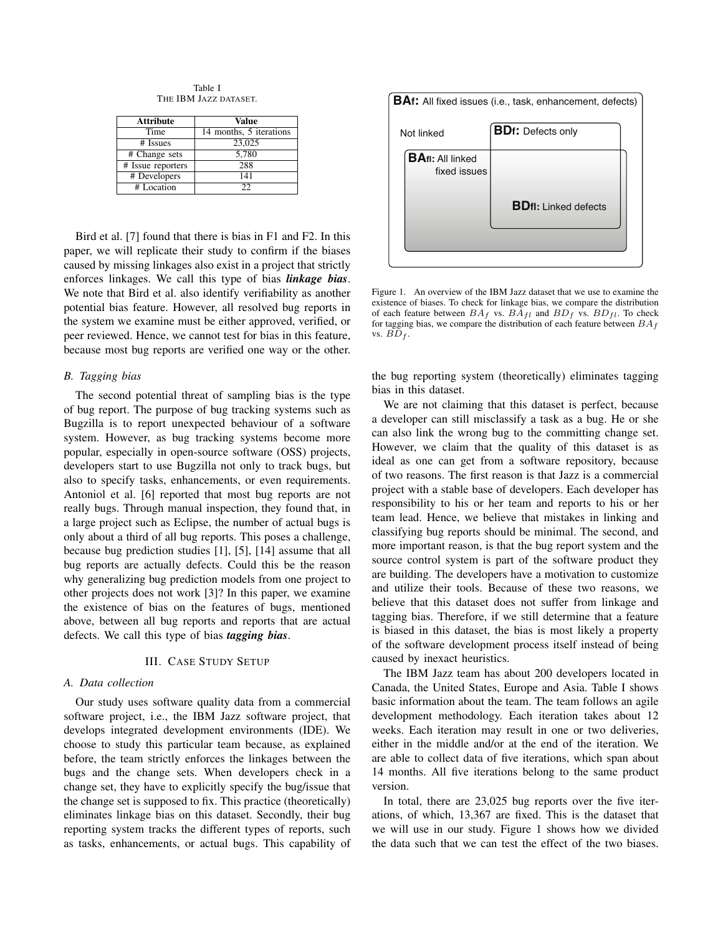Table I THE IBM JAZZ DATASET.

| <b>Attribute</b>  | Value                   |
|-------------------|-------------------------|
| Time              | 14 months, 5 iterations |
| # Issues          | 23,025                  |
| # Change sets     | 5.780                   |
| # Issue reporters | 288                     |
| # Developers      | 141                     |
| # Location        | つつ                      |

Bird et al. [7] found that there is bias in F1 and F2. In this paper, we will replicate their study to confirm if the biases caused by missing linkages also exist in a project that strictly enforces linkages. We call this type of bias *linkage bias*. We note that Bird et al. also identify verifiability as another potential bias feature. However, all resolved bug reports in the system we examine must be either approved, verified, or peer reviewed. Hence, we cannot test for bias in this feature, because most bug reports are verified one way or the other.

### *B. Tagging bias*

The second potential threat of sampling bias is the type of bug report. The purpose of bug tracking systems such as Bugzilla is to report unexpected behaviour of a software system. However, as bug tracking systems become more popular, especially in open-source software (OSS) projects, developers start to use Bugzilla not only to track bugs, but also to specify tasks, enhancements, or even requirements. Antoniol et al. [6] reported that most bug reports are not really bugs. Through manual inspection, they found that, in a large project such as Eclipse, the number of actual bugs is only about a third of all bug reports. This poses a challenge, because bug prediction studies [1], [5], [14] assume that all bug reports are actually defects. Could this be the reason why generalizing bug prediction models from one project to other projects does not work [3]? In this paper, we examine the existence of bias on the features of bugs, mentioned above, between all bug reports and reports that are actual defects. We call this type of bias *tagging bias*.

## III. CASE STUDY SETUP

## *A. Data collection*

Our study uses software quality data from a commercial software project, i.e., the IBM Jazz software project, that develops integrated development environments (IDE). We choose to study this particular team because, as explained before, the team strictly enforces the linkages between the bugs and the change sets. When developers check in a change set, they have to explicitly specify the bug/issue that the change set is supposed to fix. This practice (theoretically) eliminates linkage bias on this dataset. Secondly, their bug reporting system tracks the different types of reports, such as tasks, enhancements, or actual bugs. This capability of



Figure 1. An overview of the IBM Jazz dataset that we use to examine the existence of biases. To check for linkage bias, we compare the distribution of each feature between  $BA_f$  vs.  $BA_{fl}$  and  $BD_f$  vs.  $BD_{fl}$ . To check for tagging bias, we compare the distribution of each feature between  $BA_f$ vs.  $BD_{f}$ .

the bug reporting system (theoretically) eliminates tagging bias in this dataset.

We are not claiming that this dataset is perfect, because a developer can still misclassify a task as a bug. He or she can also link the wrong bug to the committing change set. However, we claim that the quality of this dataset is as ideal as one can get from a software repository, because of two reasons. The first reason is that Jazz is a commercial project with a stable base of developers. Each developer has responsibility to his or her team and reports to his or her team lead. Hence, we believe that mistakes in linking and classifying bug reports should be minimal. The second, and more important reason, is that the bug report system and the source control system is part of the software product they are building. The developers have a motivation to customize and utilize their tools. Because of these two reasons, we believe that this dataset does not suffer from linkage and tagging bias. Therefore, if we still determine that a feature is biased in this dataset, the bias is most likely a property of the software development process itself instead of being caused by inexact heuristics.

The IBM Jazz team has about 200 developers located in Canada, the United States, Europe and Asia. Table I shows basic information about the team. The team follows an agile development methodology. Each iteration takes about 12 weeks. Each iteration may result in one or two deliveries, either in the middle and/or at the end of the iteration. We are able to collect data of five iterations, which span about 14 months. All five iterations belong to the same product version.

In total, there are 23,025 bug reports over the five iterations, of which, 13,367 are fixed. This is the dataset that we will use in our study. Figure 1 shows how we divided the data such that we can test the effect of the two biases.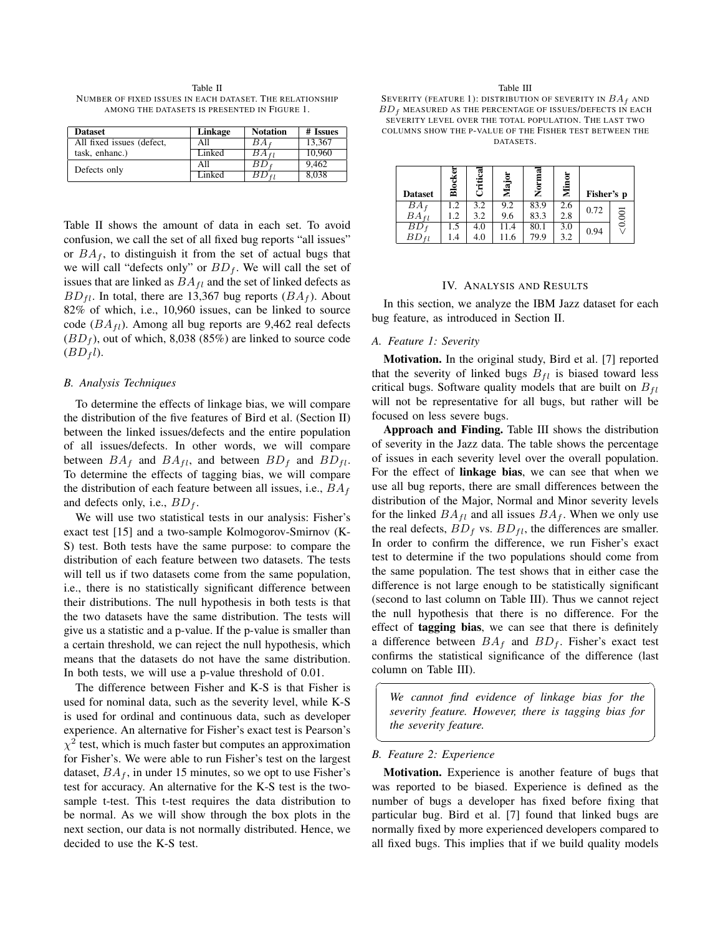Table II NUMBER OF FIXED ISSUES IN EACH DATASET. THE RELATIONSHIP AMONG THE DATASETS IS PRESENTED IN FIGURE 1.

| <b>Dataset</b>            | Linkage | <b>Notation</b> | # Issues |
|---------------------------|---------|-----------------|----------|
| All fixed issues (defect, | All     | BA.             | 13.367   |
| task, enhanc.)            | Linked  |                 | 10.960   |
| Defects only              | All     |                 | 9.462    |
|                           | Linked. |                 | 8.038    |

Table II shows the amount of data in each set. To avoid confusion, we call the set of all fixed bug reports "all issues" or  $BA_f$ , to distinguish it from the set of actual bugs that we will call "defects only" or  $BD_f$ . We will call the set of issues that are linked as  $BA_{fl}$  and the set of linked defects as  $BD_{fl}$ . In total, there are 13,367 bug reports  $(BA_f)$ . About 82% of which, i.e., 10,960 issues, can be linked to source code  $(BA_{fl})$ . Among all bug reports are 9,462 real defects  $(BD_f)$ , out of which, 8,038 (85%) are linked to source code  $(BD_f l)$ .

## *B. Analysis Techniques*

To determine the effects of linkage bias, we will compare the distribution of the five features of Bird et al. (Section II) between the linked issues/defects and the entire population of all issues/defects. In other words, we will compare between  $BA_f$  and  $BA_{fl}$ , and between  $BD_f$  and  $BD_{fl}$ . To determine the effects of tagging bias, we will compare the distribution of each feature between all issues, i.e.,  $BA_f$ and defects only, i.e.,  $BD_f$ .

We will use two statistical tests in our analysis: Fisher's exact test [15] and a two-sample Kolmogorov-Smirnov (K-S) test. Both tests have the same purpose: to compare the distribution of each feature between two datasets. The tests will tell us if two datasets come from the same population, i.e., there is no statistically significant difference between their distributions. The null hypothesis in both tests is that the two datasets have the same distribution. The tests will give us a statistic and a p-value. If the p-value is smaller than a certain threshold, we can reject the null hypothesis, which means that the datasets do not have the same distribution. In both tests, we will use a p-value threshold of 0.01.

The difference between Fisher and K-S is that Fisher is used for nominal data, such as the severity level, while K-S is used for ordinal and continuous data, such as developer experience. An alternative for Fisher's exact test is Pearson's  $\chi^2$  test, which is much faster but computes an approximation for Fisher's. We were able to run Fisher's test on the largest dataset,  $BA_f$ , in under 15 minutes, so we opt to use Fisher's test for accuracy. An alternative for the K-S test is the twosample t-test. This t-test requires the data distribution to be normal. As we will show through the box plots in the next section, our data is not normally distributed. Hence, we decided to use the K-S test.

#### Table III

SEVERITY (FEATURE 1): DISTRIBUTION OF SEVERITY IN  $BA_f$  and  $BD_f$  measured as the percentage of issues/defects in each SEVERITY LEVEL OVER THE TOTAL POPULATION. THE LAST TWO COLUMNS SHOW THE P-VALUE OF THE FISHER TEST BETWEEN THE DATASETS.

| <b>Dataset</b>  | Blocke | Ē<br>n | Major | Я<br>$\bar{z}$ | Ë   | Fisher's p |                |
|-----------------|--------|--------|-------|----------------|-----|------------|----------------|
| BA <sub>f</sub> | 1.2    | 3.2    | 9.2   | 83.9           | 2.6 | 0.72       |                |
| ΒA              | 1.2    | 3.2    | 9.6   | 83.3           | 2.8 |            | $\overline{5}$ |
| ВD              | 1.5    | 4.0    | 11.4  | 80.1           | 3.0 | 0.94       |                |
| ΒD              | 1.4    | 4.0    | 11.6  | 79.9           | 3.2 |            |                |

## IV. ANALYSIS AND RESULTS

In this section, we analyze the IBM Jazz dataset for each bug feature, as introduced in Section II.

#### *A. Feature 1: Severity*

Motivation. In the original study, Bird et al. [7] reported that the severity of linked bugs  $B_{fl}$  is biased toward less critical bugs. Software quality models that are built on  $B_{fl}$ will not be representative for all bugs, but rather will be focused on less severe bugs.

Approach and Finding. Table III shows the distribution of severity in the Jazz data. The table shows the percentage of issues in each severity level over the overall population. For the effect of linkage bias, we can see that when we use all bug reports, there are small differences between the distribution of the Major, Normal and Minor severity levels for the linked  $BA_{fl}$  and all issues  $BA_f$ . When we only use the real defects,  $BD_f$  vs.  $BD_{fl}$ , the differences are smaller. In order to confirm the difference, we run Fisher's exact test to determine if the two populations should come from the same population. The test shows that in either case the difference is not large enough to be statistically significant (second to last column on Table III). Thus we cannot reject the null hypothesis that there is no difference. For the effect of tagging bias, we can see that there is definitely a difference between  $BA_f$  and  $BD_f$ . Fisher's exact test confirms the statistical significance of the difference (last column on Table III).

*We cannot find evidence of linkage bias for the severity feature. However, there is tagging bias for the severity feature.*

☎

✆

## *B. Feature 2: Experience*

 $\overline{a}$ 

✝

Motivation. Experience is another feature of bugs that was reported to be biased. Experience is defined as the number of bugs a developer has fixed before fixing that particular bug. Bird et al. [7] found that linked bugs are normally fixed by more experienced developers compared to all fixed bugs. This implies that if we build quality models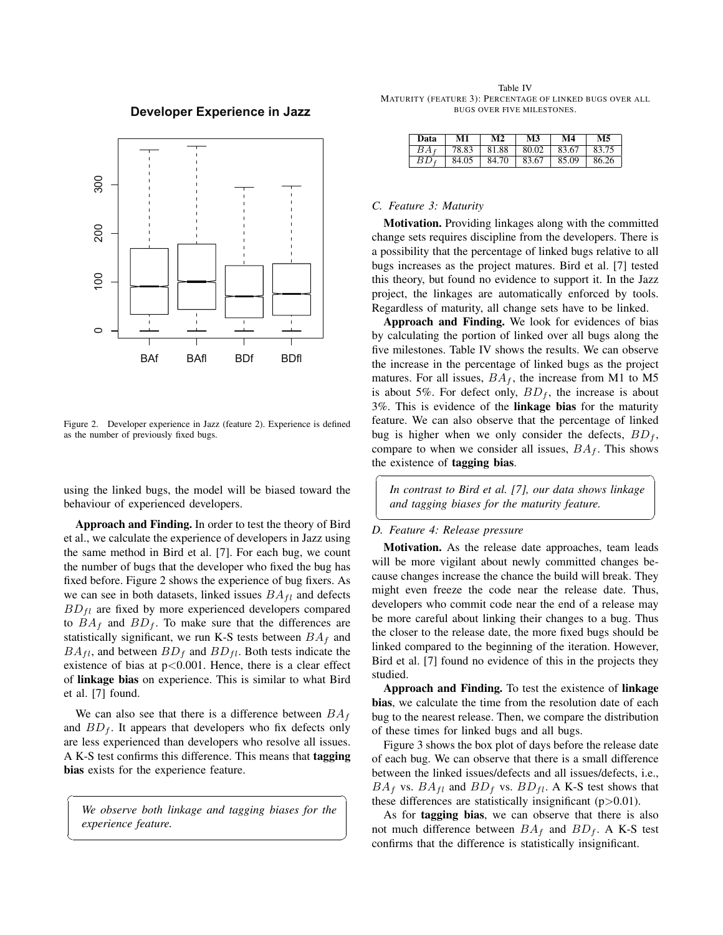## **Developer Experience in Jazz**



Figure 2. Developer experience in Jazz (feature 2). Experience is defined as the number of previously fixed bugs.

using the linked bugs, the model will be biased toward the behaviour of experienced developers.

Approach and Finding. In order to test the theory of Bird et al., we calculate the experience of developers in Jazz using the same method in Bird et al. [7]. For each bug, we count the number of bugs that the developer who fixed the bug has fixed before. Figure 2 shows the experience of bug fixers. As we can see in both datasets, linked issues  $BA_{fl}$  and defects  $BD_{fl}$  are fixed by more experienced developers compared to  $BA_f$  and  $BD_f$ . To make sure that the differences are statistically significant, we run K-S tests between  $BA<sub>f</sub>$  and  $BA_{fl}$ , and between  $BD_f$  and  $BD_{fl}$ . Both tests indicate the existence of bias at  $p<0.001$ . Hence, there is a clear effect of linkage bias on experience. This is similar to what Bird et al. [7] found.

We can also see that there is a difference between  $BA_f$ and  $BD_f$ . It appears that developers who fix defects only are less experienced than developers who resolve all issues. A K-S test confirms this difference. This means that tagging bias exists for the experience feature.

*We observe both linkage and tagging biases for the experience feature.*

☎

✆

 $\overline{a}$ 

✝

Table IV MATURITY (FEATURE 3): PERCENTAGE OF LINKED BUGS OVER ALL BUGS OVER FIVE MILESTONES.

| Data | M1    | M2    | M3    | M4    | М5    |
|------|-------|-------|-------|-------|-------|
|      | 78.83 | 81.88 | 80.02 | 83.67 | 83.75 |
|      | 84.05 | 84.70 | 83.67 | 85.09 | 86.26 |

## *C. Feature 3: Maturity*

Motivation. Providing linkages along with the committed change sets requires discipline from the developers. There is a possibility that the percentage of linked bugs relative to all bugs increases as the project matures. Bird et al. [7] tested this theory, but found no evidence to support it. In the Jazz project, the linkages are automatically enforced by tools. Regardless of maturity, all change sets have to be linked.

Approach and Finding. We look for evidences of bias by calculating the portion of linked over all bugs along the five milestones. Table IV shows the results. We can observe the increase in the percentage of linked bugs as the project matures. For all issues,  $BA_f$ , the increase from M1 to M5 is about 5%. For defect only,  $BD_f$ , the increase is about 3%. This is evidence of the linkage bias for the maturity feature. We can also observe that the percentage of linked bug is higher when we only consider the defects,  $BD_f$ , compare to when we consider all issues,  $BA_f$ . This shows the existence of tagging bias.

*In contrast to Bird et al. [7], our data shows linkage and tagging biases for the maturity feature.*

☎

✆

#### ✝ *D. Feature 4: Release pressure*

 $\overline{a}$ 

Motivation. As the release date approaches, team leads will be more vigilant about newly committed changes because changes increase the chance the build will break. They might even freeze the code near the release date. Thus, developers who commit code near the end of a release may be more careful about linking their changes to a bug. Thus the closer to the release date, the more fixed bugs should be linked compared to the beginning of the iteration. However, Bird et al. [7] found no evidence of this in the projects they studied.

Approach and Finding. To test the existence of linkage bias, we calculate the time from the resolution date of each bug to the nearest release. Then, we compare the distribution of these times for linked bugs and all bugs.

Figure 3 shows the box plot of days before the release date of each bug. We can observe that there is a small difference between the linked issues/defects and all issues/defects, i.e.,  $BA_f$  vs.  $BA_{fl}$  and  $BD_f$  vs.  $BD_{fl}$ . A K-S test shows that these differences are statistically insignificant  $(p>0.01)$ .

As for tagging bias, we can observe that there is also not much difference between  $BA_f$  and  $BD_f$ . A K-S test confirms that the difference is statistically insignificant.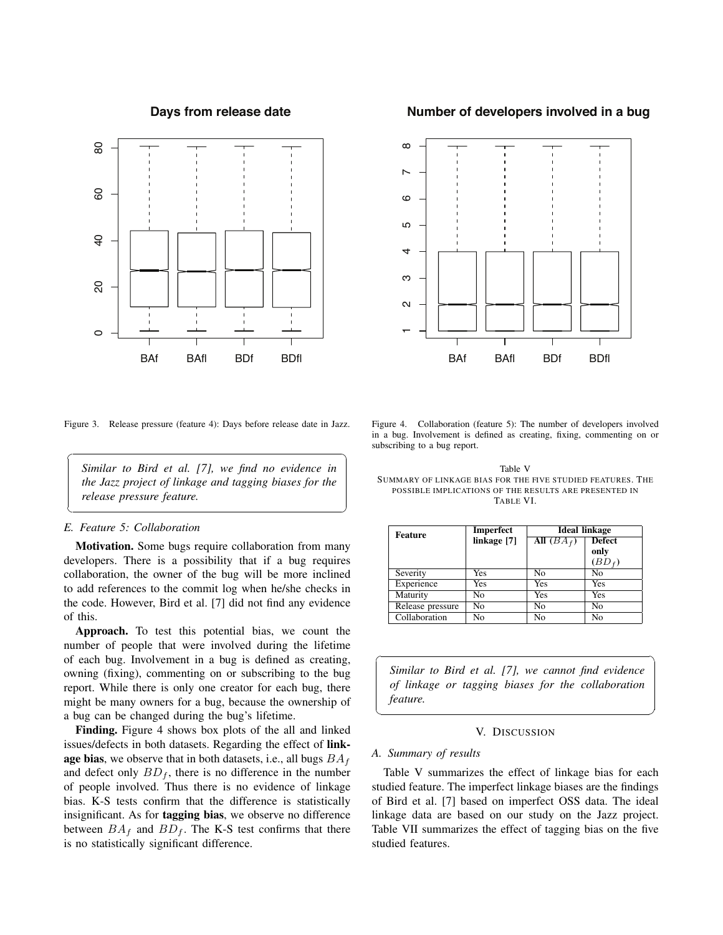**Days from release date**



Figure 3. Release pressure (feature 4): Days before release date in Jazz.

*Similar to Bird et al. [7], we find no evidence in the Jazz project of linkage and tagging biases for the release pressure feature.*

#### *E. Feature 5: Collaboration*

 $\overline{a}$ 

✝

Motivation. Some bugs require collaboration from many developers. There is a possibility that if a bug requires collaboration, the owner of the bug will be more inclined to add references to the commit log when he/she checks in the code. However, Bird et al. [7] did not find any evidence of this.

Approach. To test this potential bias, we count the number of people that were involved during the lifetime of each bug. Involvement in a bug is defined as creating, owning (fixing), commenting on or subscribing to the bug report. While there is only one creator for each bug, there might be many owners for a bug, because the ownership of a bug can be changed during the bug's lifetime.

Finding. Figure 4 shows box plots of the all and linked issues/defects in both datasets. Regarding the effect of linkage bias, we observe that in both datasets, i.e., all bugs  $BA_f$ and defect only  $BD_f$ , there is no difference in the number of people involved. Thus there is no evidence of linkage bias. K-S tests confirm that the difference is statistically insignificant. As for tagging bias, we observe no difference between  $BA_f$  and  $BD_f$ . The K-S test confirms that there is no statistically significant difference.

Figure 4. Collaboration (feature 5): The number of developers involved in a bug. Involvement is defined as creating, fixing, commenting on or subscribing to a bug report.

Table V SUMMARY OF LINKAGE BIAS FOR THE FIVE STUDIED FEATURES. THE POSSIBLE IMPLICATIONS OF THE RESULTS ARE PRESENTED IN TABLE VI.

| <b>Feature</b>   | <b>Imperfect</b> | <b>Ideal linkage</b> |               |  |
|------------------|------------------|----------------------|---------------|--|
|                  | linkage $[7]$    | All $(BA_f)$         | <b>Defect</b> |  |
|                  |                  |                      | only          |  |
|                  |                  |                      | $(BD_f)$      |  |
| Severity         | Yes              | No                   | No            |  |
| Experience       | Yes              | Yes                  | Yes           |  |
| Maturity         | N <sub>0</sub>   | Yes                  | Yes           |  |
| Release pressure | No               | No                   | No            |  |
| Collaboration    | No               | No                   | No            |  |

*Similar to Bird et al. [7], we cannot find evidence of linkage or tagging biases for the collaboration feature.*

☎

✆

## V. DISCUSSION

## *A. Summary of results*

☎

✆

 $\overline{a}$ 

✝

Table V summarizes the effect of linkage bias for each studied feature. The imperfect linkage biases are the findings of Bird et al. [7] based on imperfect OSS data. The ideal linkage data are based on our study on the Jazz project. Table VII summarizes the effect of tagging bias on the five studied features.

## **Number of developers involved in a bug**

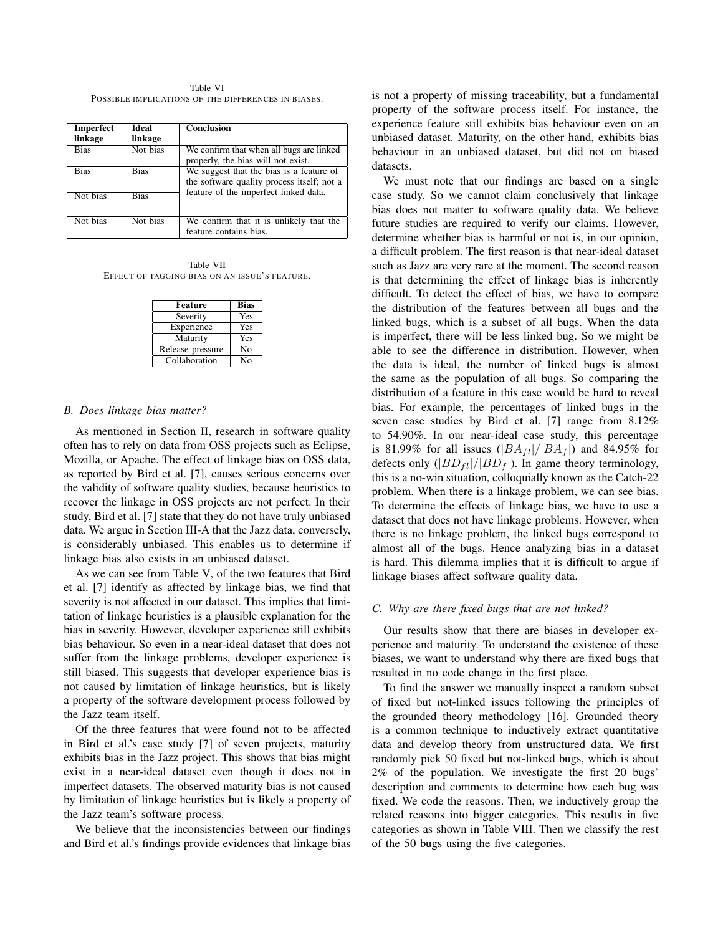Table VI POSSIBLE IMPLICATIONS OF THE DIFFERENCES IN BIASES.

| Imperfect<br>linkage | Ideal<br>linkage | <b>Conclusion</b>                                                                      |
|----------------------|------------------|----------------------------------------------------------------------------------------|
| <b>Bias</b>          | Not bias         | We confirm that when all bugs are linked<br>properly, the bias will not exist.         |
| <b>Bias</b>          | <b>Bias</b>      | We suggest that the bias is a feature of<br>the software quality process itself; not a |
| Not bias             | <b>Bias</b>      | feature of the imperfect linked data.                                                  |
| Not bias             | Not bias         | We confirm that it is unlikely that the<br>feature contains bias.                      |

Table VII EFFECT OF TAGGING BIAS ON AN ISSUE'S FEATURE.

| Feature          | <b>Bias</b> |
|------------------|-------------|
| Severity         | Yes         |
| Experience       | Yes         |
| Maturity         | Yes         |
| Release pressure | No          |
| Collaboration    | Nο          |

### *B. Does linkage bias matter?*

As mentioned in Section II, research in software quality often has to rely on data from OSS projects such as Eclipse, Mozilla, or Apache. The effect of linkage bias on OSS data, as reported by Bird et al. [7], causes serious concerns over the validity of software quality studies, because heuristics to recover the linkage in OSS projects are not perfect. In their study, Bird et al. [7] state that they do not have truly unbiased data. We argue in Section III-A that the Jazz data, conversely, is considerably unbiased. This enables us to determine if linkage bias also exists in an unbiased dataset.

As we can see from Table V, of the two features that Bird et al. [7] identify as affected by linkage bias, we find that severity is not affected in our dataset. This implies that limitation of linkage heuristics is a plausible explanation for the bias in severity. However, developer experience still exhibits bias behaviour. So even in a near-ideal dataset that does not suffer from the linkage problems, developer experience is still biased. This suggests that developer experience bias is not caused by limitation of linkage heuristics, but is likely a property of the software development process followed by the Jazz team itself.

Of the three features that were found not to be affected in Bird et al.'s case study [7] of seven projects, maturity exhibits bias in the Jazz project. This shows that bias might exist in a near-ideal dataset even though it does not in imperfect datasets. The observed maturity bias is not caused by limitation of linkage heuristics but is likely a property of the Jazz team's software process.

We believe that the inconsistencies between our findings and Bird et al.'s findings provide evidences that linkage bias is not a property of missing traceability, but a fundamental property of the software process itself. For instance, the experience feature still exhibits bias behaviour even on an unbiased dataset. Maturity, on the other hand, exhibits bias behaviour in an unbiased dataset, but did not on biased datasets.

We must note that our findings are based on a single case study. So we cannot claim conclusively that linkage bias does not matter to software quality data. We believe future studies are required to verify our claims. However, determine whether bias is harmful or not is, in our opinion, a difficult problem. The first reason is that near-ideal dataset such as Jazz are very rare at the moment. The second reason is that determining the effect of linkage bias is inherently difficult. To detect the effect of bias, we have to compare the distribution of the features between all bugs and the linked bugs, which is a subset of all bugs. When the data is imperfect, there will be less linked bug. So we might be able to see the difference in distribution. However, when the data is ideal, the number of linked bugs is almost the same as the population of all bugs. So comparing the distribution of a feature in this case would be hard to reveal bias. For example, the percentages of linked bugs in the seven case studies by Bird et al. [7] range from 8.12% to 54.90%. In our near-ideal case study, this percentage is 81.99% for all issues  $(|BA_{fl}|/|BA_f|)$  and 84.95% for defects only  $(|BD_{fl}|/|BD_f|)$ . In game theory terminology, this is a no-win situation, colloquially known as the Catch-22 problem. When there is a linkage problem, we can see bias. To determine the effects of linkage bias, we have to use a dataset that does not have linkage problems. However, when there is no linkage problem, the linked bugs correspond to almost all of the bugs. Hence analyzing bias in a dataset is hard. This dilemma implies that it is difficult to argue if linkage biases affect software quality data.

## *C. Why are there fixed bugs that are not linked?*

Our results show that there are biases in developer experience and maturity. To understand the existence of these biases, we want to understand why there are fixed bugs that resulted in no code change in the first place.

To find the answer we manually inspect a random subset of fixed but not-linked issues following the principles of the grounded theory methodology [16]. Grounded theory is a common technique to inductively extract quantitative data and develop theory from unstructured data. We first randomly pick 50 fixed but not-linked bugs, which is about 2% of the population. We investigate the first 20 bugs' description and comments to determine how each bug was fixed. We code the reasons. Then, we inductively group the related reasons into bigger categories. This results in five categories as shown in Table VIII. Then we classify the rest of the 50 bugs using the five categories.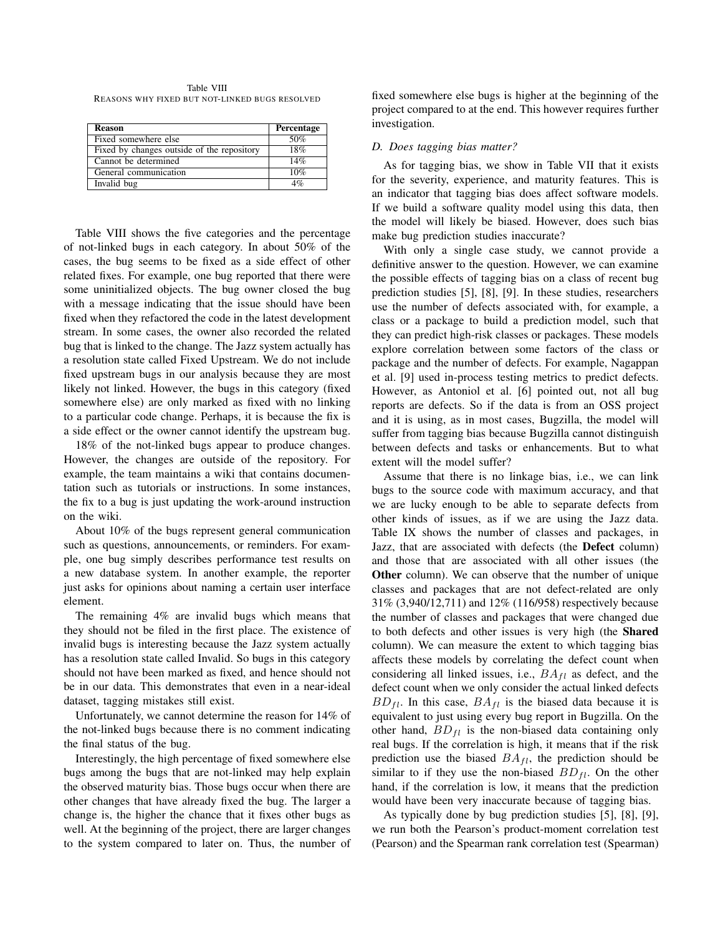Table VIII REASONS WHY FIXED BUT NOT-LINKED BUGS RESOLVED

| <b>Reason</b>                              | Percentage |
|--------------------------------------------|------------|
| Fixed somewhere else                       | 50%        |
| Fixed by changes outside of the repository | 18%        |
| Cannot be determined                       | 14%        |
| General communication                      | 10%        |
| Invalid bug                                | 4%         |

Table VIII shows the five categories and the percentage of not-linked bugs in each category. In about 50% of the cases, the bug seems to be fixed as a side effect of other related fixes. For example, one bug reported that there were some uninitialized objects. The bug owner closed the bug with a message indicating that the issue should have been fixed when they refactored the code in the latest development stream. In some cases, the owner also recorded the related bug that is linked to the change. The Jazz system actually has a resolution state called Fixed Upstream. We do not include fixed upstream bugs in our analysis because they are most likely not linked. However, the bugs in this category (fixed somewhere else) are only marked as fixed with no linking to a particular code change. Perhaps, it is because the fix is a side effect or the owner cannot identify the upstream bug.

18% of the not-linked bugs appear to produce changes. However, the changes are outside of the repository. For example, the team maintains a wiki that contains documentation such as tutorials or instructions. In some instances, the fix to a bug is just updating the work-around instruction on the wiki.

About 10% of the bugs represent general communication such as questions, announcements, or reminders. For example, one bug simply describes performance test results on a new database system. In another example, the reporter just asks for opinions about naming a certain user interface element.

The remaining 4% are invalid bugs which means that they should not be filed in the first place. The existence of invalid bugs is interesting because the Jazz system actually has a resolution state called Invalid. So bugs in this category should not have been marked as fixed, and hence should not be in our data. This demonstrates that even in a near-ideal dataset, tagging mistakes still exist.

Unfortunately, we cannot determine the reason for 14% of the not-linked bugs because there is no comment indicating the final status of the bug.

Interestingly, the high percentage of fixed somewhere else bugs among the bugs that are not-linked may help explain the observed maturity bias. Those bugs occur when there are other changes that have already fixed the bug. The larger a change is, the higher the chance that it fixes other bugs as well. At the beginning of the project, there are larger changes to the system compared to later on. Thus, the number of

fixed somewhere else bugs is higher at the beginning of the project compared to at the end. This however requires further investigation.

## *D. Does tagging bias matter?*

As for tagging bias, we show in Table VII that it exists for the severity, experience, and maturity features. This is an indicator that tagging bias does affect software models. If we build a software quality model using this data, then the model will likely be biased. However, does such bias make bug prediction studies inaccurate?

With only a single case study, we cannot provide a definitive answer to the question. However, we can examine the possible effects of tagging bias on a class of recent bug prediction studies [5], [8], [9]. In these studies, researchers use the number of defects associated with, for example, a class or a package to build a prediction model, such that they can predict high-risk classes or packages. These models explore correlation between some factors of the class or package and the number of defects. For example, Nagappan et al. [9] used in-process testing metrics to predict defects. However, as Antoniol et al. [6] pointed out, not all bug reports are defects. So if the data is from an OSS project and it is using, as in most cases, Bugzilla, the model will suffer from tagging bias because Bugzilla cannot distinguish between defects and tasks or enhancements. But to what extent will the model suffer?

Assume that there is no linkage bias, i.e., we can link bugs to the source code with maximum accuracy, and that we are lucky enough to be able to separate defects from other kinds of issues, as if we are using the Jazz data. Table IX shows the number of classes and packages, in Jazz, that are associated with defects (the Defect column) and those that are associated with all other issues (the Other column). We can observe that the number of unique classes and packages that are not defect-related are only 31% (3,940/12,711) and 12% (116/958) respectively because the number of classes and packages that were changed due to both defects and other issues is very high (the Shared column). We can measure the extent to which tagging bias affects these models by correlating the defect count when considering all linked issues, i.e.,  $BA_{fl}$  as defect, and the defect count when we only consider the actual linked defects  $BD_{fl}$ . In this case,  $BA_{fl}$  is the biased data because it is equivalent to just using every bug report in Bugzilla. On the other hand,  $BD_{fl}$  is the non-biased data containing only real bugs. If the correlation is high, it means that if the risk prediction use the biased  $BA_{fl}$ , the prediction should be similar to if they use the non-biased  $BD_{fl}$ . On the other hand, if the correlation is low, it means that the prediction would have been very inaccurate because of tagging bias.

As typically done by bug prediction studies [5], [8], [9], we run both the Pearson's product-moment correlation test (Pearson) and the Spearman rank correlation test (Spearman)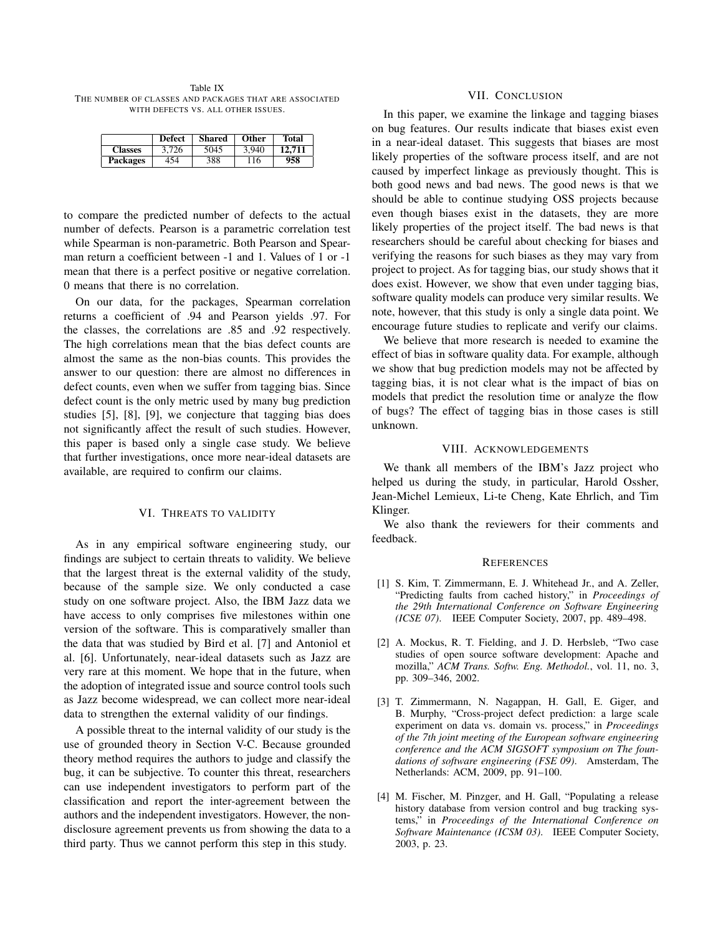Table IX THE NUMBER OF CLASSES AND PACKAGES THAT ARE ASSOCIATED WITH DEFECTS VS. ALL OTHER ISSUES.

|                 | <b>Defect</b> | <b>Shared</b> | Other | <b>Total</b> |
|-----------------|---------------|---------------|-------|--------------|
| <b>Classes</b>  | 3.726         | 5045          | 3.940 | 12.711       |
| <b>Packages</b> | 454           | 388           | 116   | 958          |

to compare the predicted number of defects to the actual number of defects. Pearson is a parametric correlation test while Spearman is non-parametric. Both Pearson and Spearman return a coefficient between -1 and 1. Values of 1 or -1 mean that there is a perfect positive or negative correlation. 0 means that there is no correlation.

On our data, for the packages, Spearman correlation returns a coefficient of .94 and Pearson yields .97. For the classes, the correlations are .85 and .92 respectively. The high correlations mean that the bias defect counts are almost the same as the non-bias counts. This provides the answer to our question: there are almost no differences in defect counts, even when we suffer from tagging bias. Since defect count is the only metric used by many bug prediction studies [5], [8], [9], we conjecture that tagging bias does not significantly affect the result of such studies. However, this paper is based only a single case study. We believe that further investigations, once more near-ideal datasets are available, are required to confirm our claims.

#### VI. THREATS TO VALIDITY

As in any empirical software engineering study, our findings are subject to certain threats to validity. We believe that the largest threat is the external validity of the study, because of the sample size. We only conducted a case study on one software project. Also, the IBM Jazz data we have access to only comprises five milestones within one version of the software. This is comparatively smaller than the data that was studied by Bird et al. [7] and Antoniol et al. [6]. Unfortunately, near-ideal datasets such as Jazz are very rare at this moment. We hope that in the future, when the adoption of integrated issue and source control tools such as Jazz become widespread, we can collect more near-ideal data to strengthen the external validity of our findings.

A possible threat to the internal validity of our study is the use of grounded theory in Section V-C. Because grounded theory method requires the authors to judge and classify the bug, it can be subjective. To counter this threat, researchers can use independent investigators to perform part of the classification and report the inter-agreement between the authors and the independent investigators. However, the nondisclosure agreement prevents us from showing the data to a third party. Thus we cannot perform this step in this study.

## VII. CONCLUSION

In this paper, we examine the linkage and tagging biases on bug features. Our results indicate that biases exist even in a near-ideal dataset. This suggests that biases are most likely properties of the software process itself, and are not caused by imperfect linkage as previously thought. This is both good news and bad news. The good news is that we should be able to continue studying OSS projects because even though biases exist in the datasets, they are more likely properties of the project itself. The bad news is that researchers should be careful about checking for biases and verifying the reasons for such biases as they may vary from project to project. As for tagging bias, our study shows that it does exist. However, we show that even under tagging bias, software quality models can produce very similar results. We note, however, that this study is only a single data point. We encourage future studies to replicate and verify our claims.

We believe that more research is needed to examine the effect of bias in software quality data. For example, although we show that bug prediction models may not be affected by tagging bias, it is not clear what is the impact of bias on models that predict the resolution time or analyze the flow of bugs? The effect of tagging bias in those cases is still unknown.

## VIII. ACKNOWLEDGEMENTS

We thank all members of the IBM's Jazz project who helped us during the study, in particular, Harold Ossher, Jean-Michel Lemieux, Li-te Cheng, Kate Ehrlich, and Tim Klinger.

We also thank the reviewers for their comments and feedback.

#### **REFERENCES**

- [1] S. Kim, T. Zimmermann, E. J. Whitehead Jr., and A. Zeller, "Predicting faults from cached history," in *Proceedings of the 29th International Conference on Software Engineering (ICSE 07)*. IEEE Computer Society, 2007, pp. 489–498.
- [2] A. Mockus, R. T. Fielding, and J. D. Herbsleb, "Two case studies of open source software development: Apache and mozilla," *ACM Trans. Softw. Eng. Methodol.*, vol. 11, no. 3, pp. 309–346, 2002.
- [3] T. Zimmermann, N. Nagappan, H. Gall, E. Giger, and B. Murphy, "Cross-project defect prediction: a large scale experiment on data vs. domain vs. process," in *Proceedings of the 7th joint meeting of the European software engineering conference and the ACM SIGSOFT symposium on The foundations of software engineering (FSE 09)*. Amsterdam, The Netherlands: ACM, 2009, pp. 91–100.
- [4] M. Fischer, M. Pinzger, and H. Gall, "Populating a release history database from version control and bug tracking systems," in *Proceedings of the International Conference on Software Maintenance (ICSM 03)*. IEEE Computer Society, 2003, p. 23.